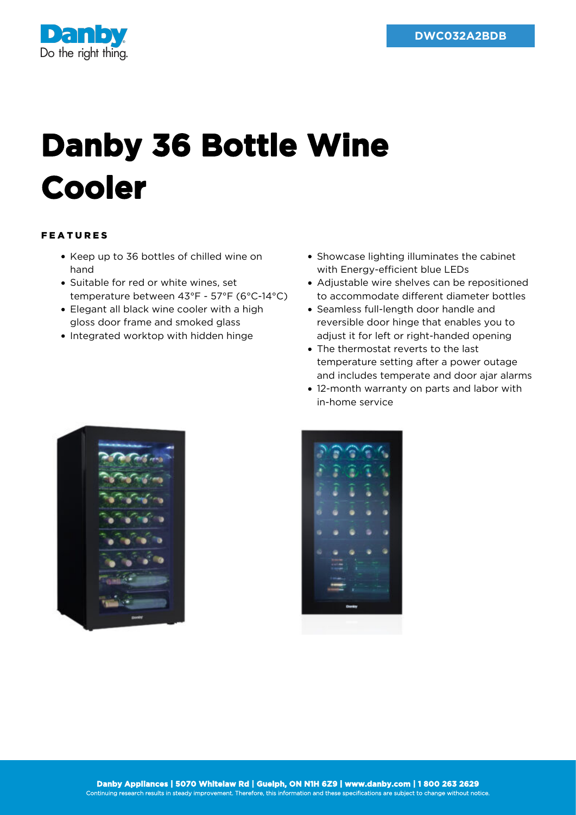

## **Danby 36 Bottle Wine Cooler**

## FEATURES

- Keep up to 36 bottles of chilled wine on hand
- Suitable for red or white wines, set temperature between 43°F - 57°F (6°C-14°C)
- Elegant all black wine cooler with a high gloss door frame and smoked glass
- Integrated worktop with hidden hinge
- Showcase lighting illuminates the cabinet with Energy-efficient blue LEDs
- Adjustable wire shelves can be repositioned to accommodate different diameter bottles
- Seamless full-length door handle and reversible door hinge that enables you to adjust it for left or right-handed opening
- The thermostat reverts to the last temperature setting after a power outage and includes temperate and door ajar alarms
- 12-month warranty on parts and labor with in-home service